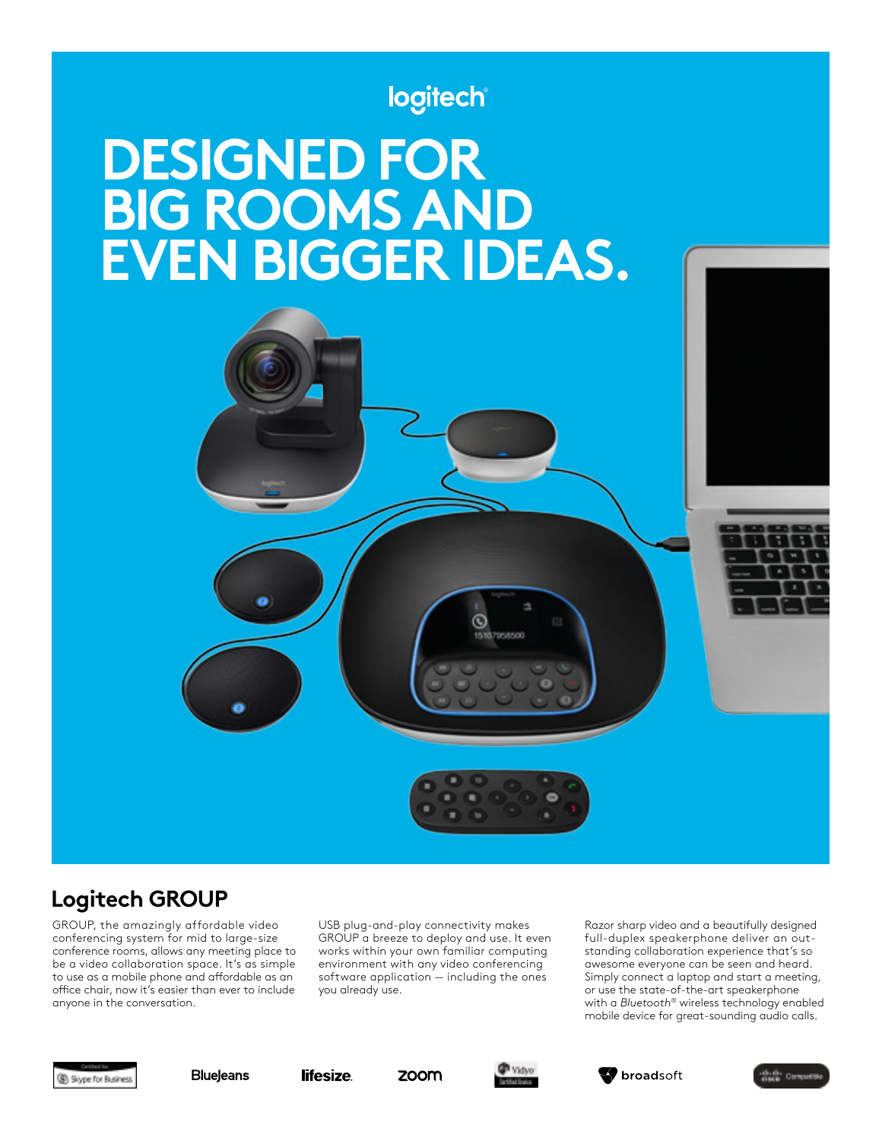# logitech®

# **DESIGNED FOR BIG ROOMS AND EVEN BIGGER IDEAS.**



## **Logitech GROUP**

GROUP, the amazingly affordable video conferencing system for mid to large-size conference rooms, allows any meeting place to be a video collaboration space. It's as simple to use as a mobile phone and affordable as an office chair, now it's easier than ever to include anyone in the conversation.

USB plug-and-play connectivity makes GROUP a breeze to deploy and use. It even works within your own familiar computing environment with any video conferencing software application — including the ones you already use.

Razor sharp video and a beautifully designed full-duplex speakerphone deliver an outstanding collaboration experience that's so awesome everyone can be seen and heard. Simply connect a laptop and start a meeting, or use the state-of-the-art speakerphone with a *Bluetooth*® wireless technology enabled mobile device for great-sounding audio calls.



lifesize.

zoom





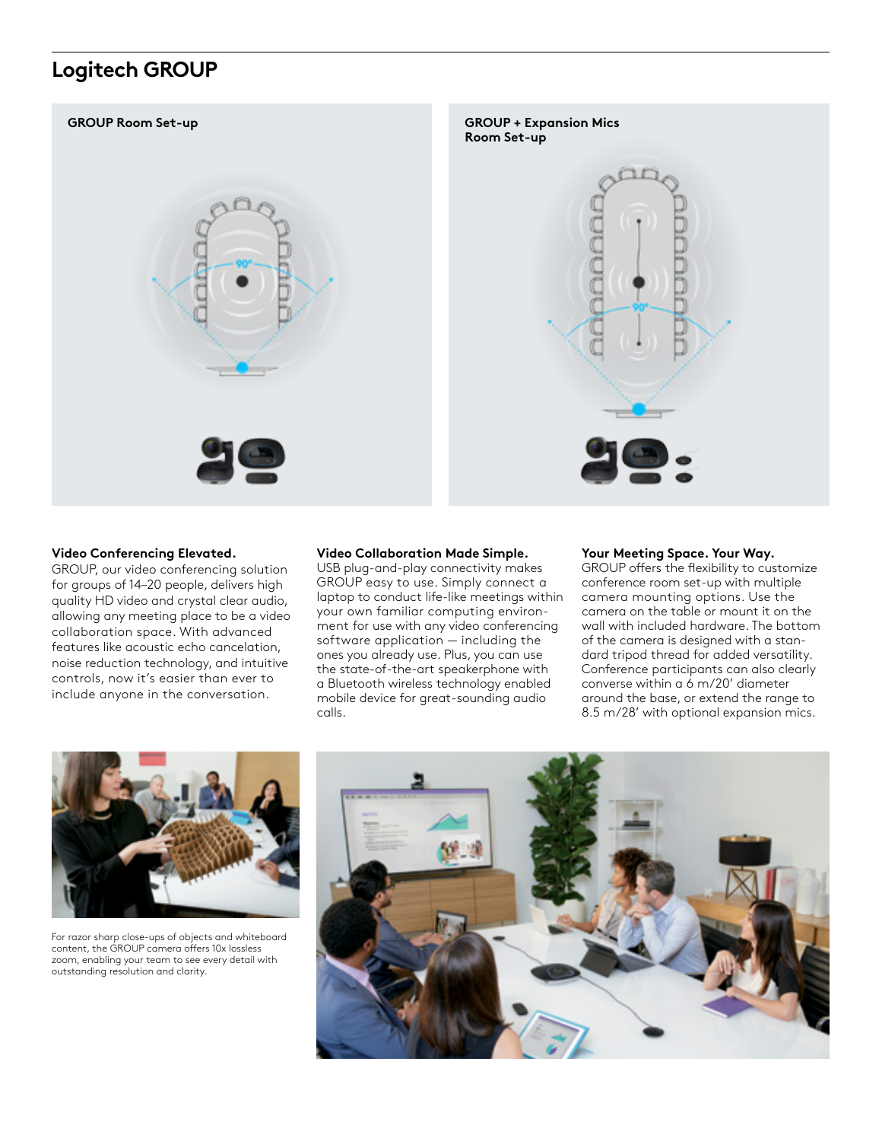### **Logitech GROUP**



#### **Video Conferencing Elevated.**

GROUP, our video conferencing solution for groups of 14–20 people, delivers high quality HD video and crystal clear audio, allowing any meeting place to be a video collaboration space. With advanced features like acoustic echo cancelation, noise reduction technology, and intuitive controls, now it's easier than ever to include anyone in the conversation.

#### **Video Collaboration Made Simple.**

USB plug-and-play connectivity makes GROUP easy to use. Simply connect a laptop to conduct life-like meetings within your own familiar computing environment for use with any video conferencing software application — including the ones you already use. Plus, you can use the state-of-the-art speakerphone with a Bluetooth wireless technology enabled mobile device for great-sounding audio calls.

#### **Your Meeting Space. Your Way.**

GROUP offers the flexibility to customize conference room set-up with multiple camera mounting options. Use the camera on the table or mount it on the wall with included hardware. The bottom of the camera is designed with a standard tripod thread for added versatility. Conference participants can also clearly converse within a 6 m/20' diameter around the base, or extend the range to 8.5 m/28' with optional expansion mics.



For razor sharp close-ups of objects and whiteboard content, the GROUP camera offers 10x lossless zoom, enabling your team to see every detail with outstanding resolution and clarity.

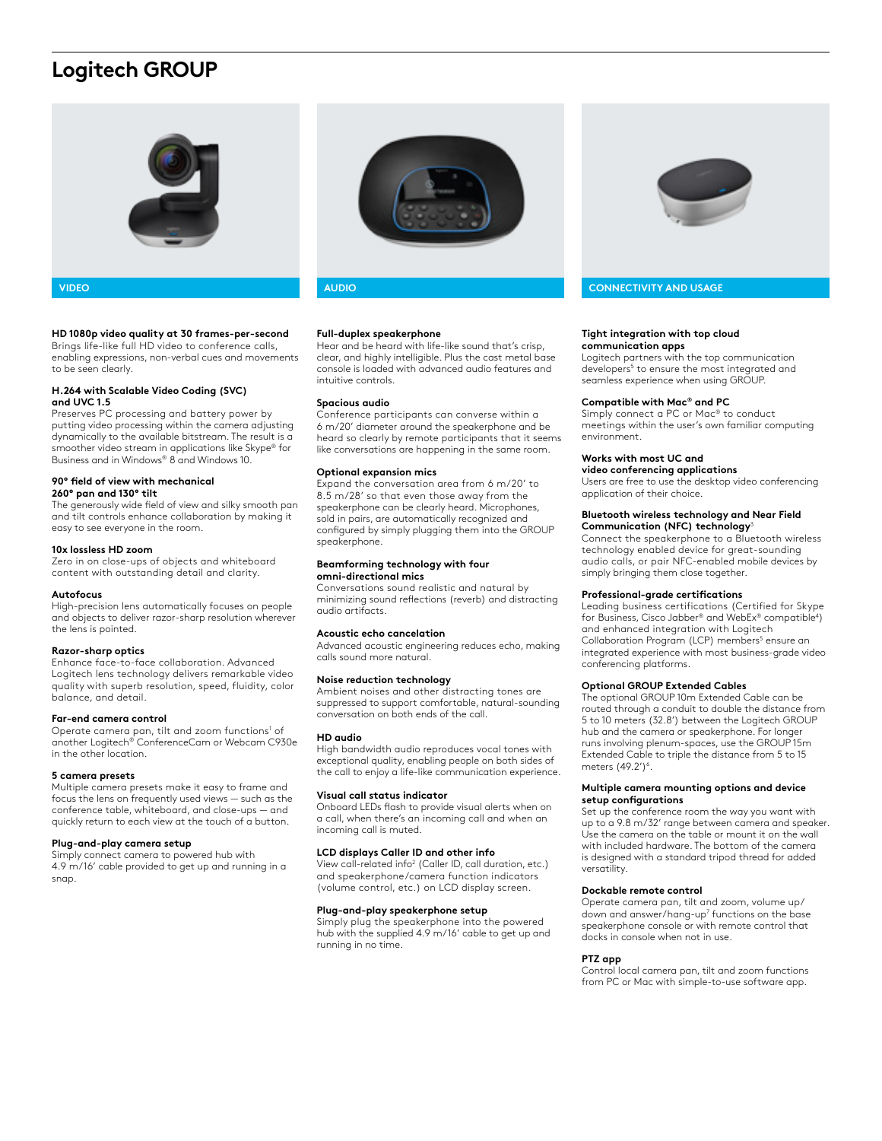### **Logitech GROUP**



### **HD 1080p video quality at 30 frames-per-second**

Brings life-like full HD video to conference calls, enabling expressions, non-verbal cues and movements to be seen clearly.

#### **H.264 with Scalable Video Coding (SVC) and UVC 1.5**

Preserves PC processing and battery power by putting video processing within the camera adjusting dynamically to the available bitstream. The result is a smoother video stream in applications like Skype® for Business and in Windows® 8 and Windows 10.

#### **90° field of view with mechanical 260° pan and 130° tilt**

The generously wide field of view and silky smooth pan and tilt controls enhance collaboration by making it easy to see everyone in the room.

#### **10x lossless HD zoom**

Zero in on close-ups of objects and whiteboard content with outstanding detail and clarity.

#### **Autofocus**

High-precision lens automatically focuses on people and objects to deliver razor-sharp resolution wherever the lens is pointed.

#### **Razor-sharp optics**

Enhance face-to-face collaboration. Advanced Logitech lens technology delivers remarkable video quality with superb resolution, speed, fluidity, color balance, and detail.

#### **Far-end camera control**

Operate camera pan, tilt and zoom functions<sup>1</sup> of another Logitech® ConferenceCam or Webcam C930e in the other location.

#### **5 camera presets**

Multiple camera presets make it easy to frame and focus the lens on frequently used views — such as the conference table, whiteboard, and close-ups — and quickly return to each view at the touch of a button.

#### **Plug-and-play camera setup**

Simply connect camera to powered hub with 4.9 m/16' cable provided to get up and running in a snap.



#### **Full-duplex speakerphone**

Hear and be heard with life-like sound that's crisp, clear, and highly intelligible. Plus the cast metal base console is loaded with advanced audio features and intuitive controls.

#### **Spacious audio**

Conference participants can converse within a 6 m/20' diameter around the speakerphone and be heard so clearly by remote participants that it seems like conversations are happening in the same room.

#### **Optional expansion mics**

Expand the conversation area from 6 m/20' to 8.5 m/28' so that even those away from the speakerphone can be clearly heard. Microphones, sold in pairs, are automatically recognized and configured by simply plugging them into the GROUP speakerphone.

#### **Beamforming technology with four omni-directional mics**

Conversations sound realistic and natural by minimizing sound reflections (reverb) and distracting audio artifacts.

#### **Acoustic echo cancelation**

Advanced acoustic engineering reduces echo, making calls sound more natural.

#### **Noise reduction technology**

Ambient noises and other distracting tones are suppressed to support comfortable, natural-sounding conversation on both ends of the call.

#### **HD audio**

High bandwidth audio reproduces vocal tones with exceptional quality, enabling people on both sides of the call to enjoy a life-like communication experience.

#### **Visual call status indicator**

Onboard LEDs flash to provide visual alerts when on a call, when there's an incoming call and when an incoming call is muted.

### **LCD displays Caller ID and other info**

View call-related info2 (Caller ID, call duration, etc.) and speakerphone/camera function indicators (volume control, etc.) on LCD display screen.

#### **Plug-and-play speakerphone setup**

Simply plug the speakerphone into the powered hub with the supplied 4.9 m/16' cable to get up and running in no time.



#### **Tight integration with top cloud communication apps**

Logitech partners with the top communication developers<sup>5</sup> to ensure the most integrated and seamless experience when using GROUP.

#### **Compatible with Mac® and PC**

Simply connect a PC or Mac® to conduct meetings within the user's own familiar computing environment.

#### **Works with most UC and**

**video conferencing applications**  Users are free to use the desktop video conferencing application of their choice.

#### **Bluetooth wireless technology and Near Field Communication (NFC) technology**<sup>3</sup>

Connect the speakerphone to a Bluetooth wireless technology enabled device for great-sounding audio calls, or pair NFC-enabled mobile devices by simply bringing them close together.

#### **Professional-grade certifications**

Leading business certifications (Certified for Skype for Business, Cisco Jabber® and WebEx® compatible4 ) and enhanced integration with Logitech Collaboration Program (LCP) members<sup>5</sup> ensure an integrated experience with most business-grade video conferencing platforms.

#### **Optional GROUP Extended Cables**

The optional GROUP 10m Extended Cable can be routed through a conduit to double the distance from 5 to 10 meters (32.8') between the Logitech GROUP hub and the camera or speakerphone. For longer runs involving plenum-spaces, use the GROUP 15m Extended Cable to triple the distance from 5 to 15 meters (49.2')<sup>6</sup>.

#### **Multiple camera mounting options and device setup configurations**

Set up the conference room the way you want with up to a 9.8 m/32' range between camera and speaker. Use the camera on the table or mount it on the wall with included hardware. The bottom of the camera is designed with a standard tripod thread for added versatility.

#### **Dockable remote control**

Operate camera pan, tilt and zoom, volume up/ down and answer/hang-up<sup>7</sup> functions on the base speakerphone console or with remote control that docks in console when not in use.

#### **PTZ app**

Control local camera pan, tilt and zoom functions from PC or Mac with simple-to-use software app.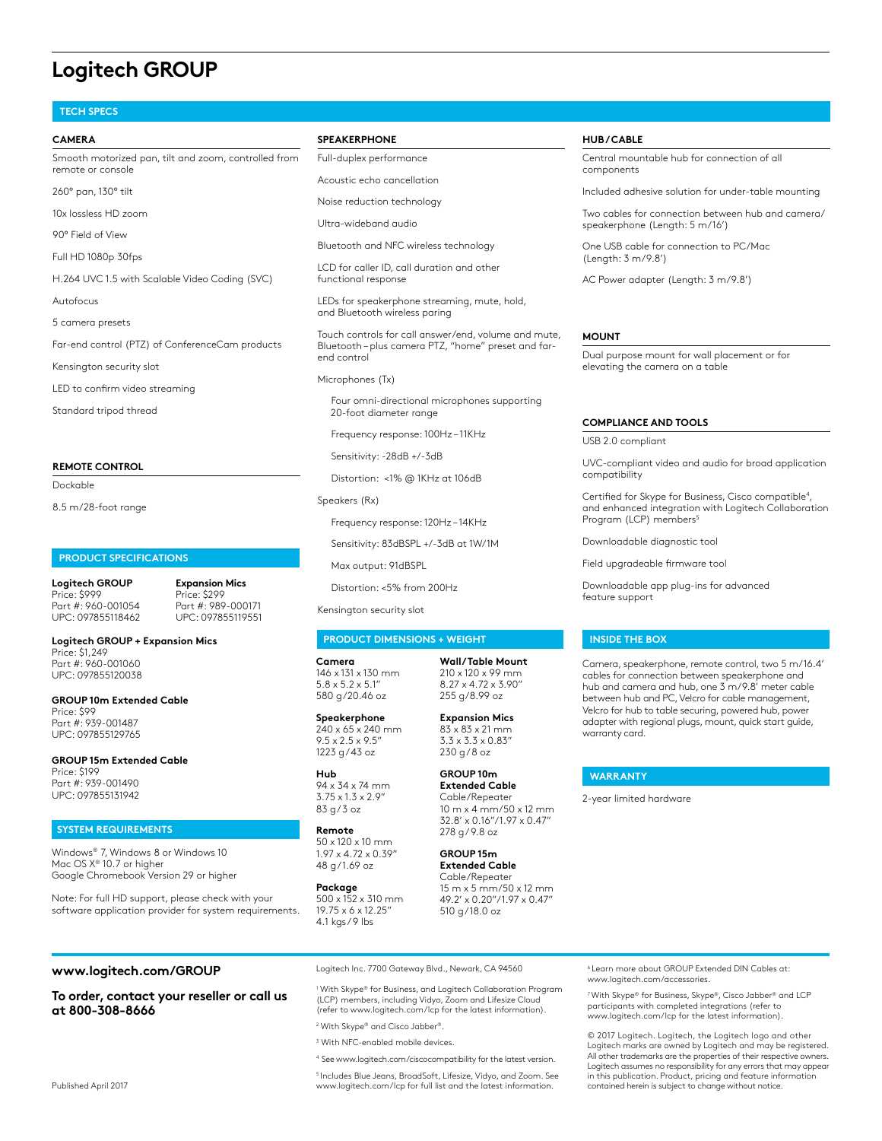### **Logitech GROUP**

#### **TECH SPECS**

#### **CAMERA**

Smooth motorized pan, tilt and zoom, controlled from remote or console

260° pan, 130° tilt

10x lossless HD zoom

90° Field of View

Full HD 1080p 30fps

H.264 UVC 1.5 with Scalable Video Coding (SVC)

Autofocus

5 camera presets

Far-end control (PTZ) of ConferenceCam products

Kensington security slot

LED to confirm video streaming

Standard tripod thread

#### **REMOTE CONTROL**

Dockable

8.5 m/28-foot range

#### **PRODUCT SPECIFICATIONS**

**Logitech GROUP** Price: \$999 Part #: 960-001054 UPC: 097855118462 **Expansion Mics** Price: \$299 Part #: 989-000171 UPC: 097855119551

**Logitech GROUP + Expansion Mics** Price: \$1,249 Part #: 960-001060 UPC: 097855120038

**GROUP 10m Extended Cable** Price: \$99 Part #: 939-001487 UPC: 097855129765

**GROUP 15m Extended Cable** Price: \$199 Part #: 939-001490 UPC: 097855131942

#### **SYSTEM REQUIREMENTS**

Windows® 7, Windows 8 or Windows 10 Mac OS X<sup>®</sup> 10.7 or higher Google Chromebook Version 29 or higher

Note: For full HD support, please check with your software application provider for system requirements.

#### **SPEAKERPHONE**

Full-duplex performance

Acoustic echo cancellation

Noise reduction technology

Ultra-wideband audio

Bluetooth and NFC wireless technology

LCD for caller ID, call duration and other functional response

LEDs for speakerphone streaming, mute, hold, and Bluetooth wireless paring

Touch controls for call answer/end, volume and mute, Bluetooth – plus camera PTZ, "home" preset and farend control

Microphones (Tx)

 Four omni-directional microphones supporting 20-foot diameter range

Frequency response: 100Hz – 11KHz

Sensitivity: -28dB +/-3dB

Distortion: <1% @ 1KHz at 106dB

#### Speakers (Rx)

Frequency response: 120Hz – 14KHz

Sensitivity: 83dBSPL +/-3dB at 1W/1M

Max output: 91dBSPL

Distortion: <5% from 200Hz

Kensington security slot

#### **PRODUCT DIMENSIONS + WEIGHT**

**Camera** 146 x 131 x 130 mm 5.8 x 5.2 x 5.1" 580 g /20.46 oz

**Speakerphone** 240 x 65 x 240 mm 9.5 x 2.5 x 9.5" 1223 g / 43 oz

**Hub** 94 x 34 x 74 mm 3.75 x 1.3 x 2.9" 83 g / 3 oz

### **Remote**

1.97 x 4.72 x 0.39"

**Package**

**Expansion Mics** 83 x 83 x 21 mm 3.3 x 3.3 x 0.83" 230 g / 8 oz

**Wall/Table Mount**

**GROUP 10m**

15 m x 5 mm/50 x 12 mm

#### **HUB / CABLE**

Central mountable hub for connection of all components

Included adhesive solution for under-table mounting

Two cables for connection between hub and camera/ speakerphone (Length: 5 m/16')

One USB cable for connection to PC/Mac (Length: 3 m/9.8')

AC Power adapter (Length: 3 m/9.8')

#### **MOUNT**

Dual purpose mount for wall placement or for elevating the camera on a table

#### **COMPLIANCE AND TOOLS**

USB 2.0 compliant

UVC-compliant video and audio for broad application compatibility

Certified for Skype for Business, Cisco compatible<sup>4</sup>, and enhanced integration with Logitech Collaboration Program (LCP) members<sup>5</sup>

Downloadable diagnostic tool

Field upgradeable firmware tool

Downloadable app plug-ins for advanced feature support

#### **INSIDE THE BOX**

Camera, speakerphone, remote control, two 5 m/16.4' cables for connection between speakerphone and hub and camera and hub, one 3 m/9.8' meter cable between hub and PC, Velcro for cable management, Velcro for hub to table securing, powered hub, power adapter with regional plugs, mount, quick start guide, warranty card.

#### **WARRANTY**

2-year limited hardware

**www.logitech.com/GROUP**

#### **To order, contact your reseller or call us at 800-308-8666**

 $6$  Learn more about GROUP Extended DIN Cables at: www.logitech.com/accessories.

7 With Skype® for Business, Skype®, Cisco Jabber® and LCP participants with completed integrations (refer to www.logitech.com/lcp for the latest information).

© 2017 Logitech. Logitech, the Logitech logo and other Logitech marks are owned by Logitech and may be registered. All other trademarks are the properties of their respective owners. Logitech assumes no responsibility for any errors that may appear in this publication. Product, pricing and feature information contained herein is subject to change without notice.

Logitech Inc. 7700 Gateway Blvd., Newark, CA 94560

1 With Skype® for Business, and Logitech Collaboration Program (LCP) members, including Vidyo, Zoom and Lifesize Cloud (refer to www.logitech.com/lcp for the latest information).

4 See www.logitech.com/ciscocompatibility for the latest version. 5 Includes Blue Jeans, BroadSoft, Lifesize, Vidyo, and Zoom. See www.logitech.com/lcp for full list and the latest information.

### 50 x 120 x 10 mm

48 g / 1.69 oz

500 x 152 x 310 mm 19.75 x 6 x 12.25" 4.1 kgs / 9 lbs

2 With Skype® and Cisco Jabber®. <sup>3</sup> With NFC-enabled mobile devices.

Cable/Repeater 278 g / 9.8 oz

> **GROUP 15m Extended Cable** Cable/Repeater

**Extended Cable** 10 m x 4 mm/50 x 12 mm 32.8' x 0.16"/1.97 x 0.47"

49.2' x 0.20"/1.97 x 0.47" 510 g / 18.0 oz

210 x 120 x 99 mm 8.27 x 4.72 x 3.90" 255 g/8.99 oz